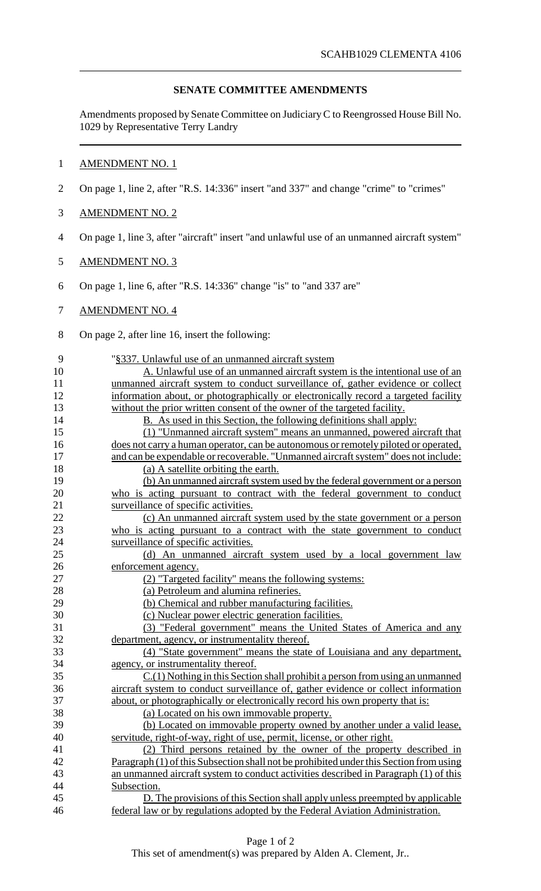## **SENATE COMMITTEE AMENDMENTS**

Amendments proposed by Senate Committee on JudiciaryC to Reengrossed House Bill No. 1029 by Representative Terry Landry

### 1 AMENDMENT NO. 1

2 On page 1, line 2, after "R.S. 14:336" insert "and 337" and change "crime" to "crimes"

## 3 AMENDMENT NO. 2

4 On page 1, line 3, after "aircraft" insert "and unlawful use of an unmanned aircraft system"

### 5 AMENDMENT NO. 3

6 On page 1, line 6, after "R.S. 14:336" change "is" to "and 337 are"

### 7 AMENDMENT NO. 4

8 On page 2, after line 16, insert the following:

| 9  | "§337. Unlawful use of an unmanned aircraft system                                     |
|----|----------------------------------------------------------------------------------------|
| 10 | A. Unlawful use of an unmanned aircraft system is the intentional use of an            |
| 11 | unmanned aircraft system to conduct surveillance of, gather evidence or collect        |
| 12 | information about, or photographically or electronically record a targeted facility    |
| 13 | without the prior written consent of the owner of the targeted facility.               |
| 14 | B. As used in this Section, the following definitions shall apply:                     |
| 15 | (1) "Unmanned aircraft system" means an unmanned, powered aircraft that                |
| 16 | does not carry a human operator, can be autonomous or remotely piloted or operated,    |
| 17 | and can be expendable or recoverable. "Unmanned aircraft system" does not include:     |
| 18 | (a) A satellite orbiting the earth.                                                    |
| 19 | (b) An unmanned aircraft system used by the federal government or a person             |
| 20 | who is acting pursuant to contract with the federal government to conduct              |
| 21 | surveillance of specific activities.                                                   |
| 22 | (c) An unmanned aircraft system used by the state government or a person               |
| 23 | who is acting pursuant to a contract with the state government to conduct              |
| 24 | surveillance of specific activities.                                                   |
| 25 | (d) An unmanned aircraft system used by a local government law                         |
| 26 | enforcement agency.                                                                    |
| 27 | (2) "Targeted facility" means the following systems:                                   |
| 28 | (a) Petroleum and alumina refineries.                                                  |
| 29 | (b) Chemical and rubber manufacturing facilities.                                      |
| 30 | (c) Nuclear power electric generation facilities.                                      |
| 31 | (3) "Federal government" means the United States of America and any                    |
| 32 | department, agency, or instrumentality thereof.                                        |
| 33 | (4) "State government" means the state of Louisiana and any department,                |
| 34 | agency, or instrumentality thereof.                                                    |
| 35 | $C(1)$ Nothing in this Section shall prohibit a person from using an unmanned          |
| 36 | aircraft system to conduct surveillance of, gather evidence or collect information     |
| 37 | about, or photographically or electronically record his own property that is:          |
| 38 | (a) Located on his own immovable property.                                             |
| 39 | (b) Located on immovable property owned by another under a valid lease,                |
| 40 | servitude, right-of-way, right of use, permit, license, or other right.                |
| 41 | (2) Third persons retained by the owner of the property described in                   |
| 42 | Paragraph (1) of this Subsection shall not be prohibited under this Section from using |
| 43 | an unmanned aircraft system to conduct activities described in Paragraph (1) of this   |
| 44 | Subsection.                                                                            |
| 45 | D. The provisions of this Section shall apply unless preempted by applicable           |
| 46 | federal law or by regulations adopted by the Federal Aviation Administration.          |

This set of amendment(s) was prepared by Alden A. Clement, Jr..